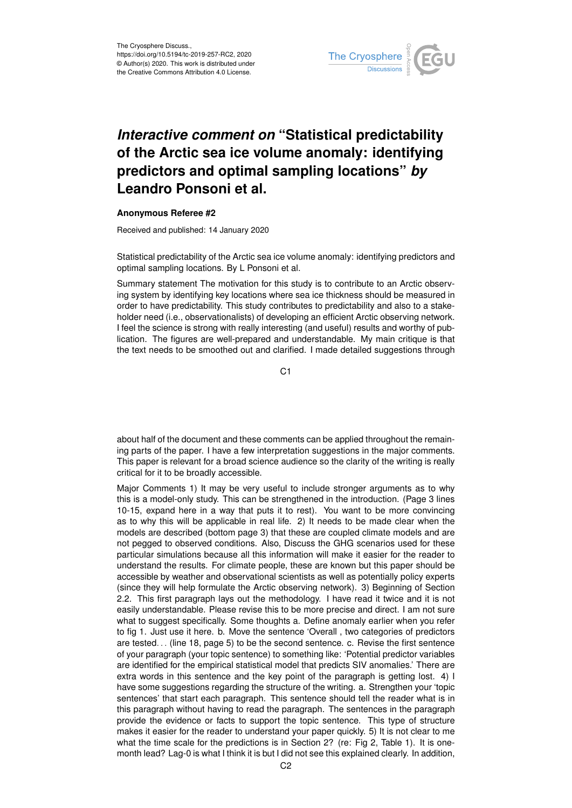

## *Interactive comment on* **"Statistical predictability of the Arctic sea ice volume anomaly: identifying predictors and optimal sampling locations"** *by* **Leandro Ponsoni et al.**

## **Anonymous Referee #2**

Received and published: 14 January 2020

Statistical predictability of the Arctic sea ice volume anomaly: identifying predictors and optimal sampling locations. By L Ponsoni et al.

Summary statement The motivation for this study is to contribute to an Arctic observing system by identifying key locations where sea ice thickness should be measured in order to have predictability. This study contributes to predictability and also to a stakeholder need (i.e., observationalists) of developing an efficient Arctic observing network. I feel the science is strong with really interesting (and useful) results and worthy of publication. The figures are well-prepared and understandable. My main critique is that the text needs to be smoothed out and clarified. I made detailed suggestions through

C1

about half of the document and these comments can be applied throughout the remaining parts of the paper. I have a few interpretation suggestions in the major comments. This paper is relevant for a broad science audience so the clarity of the writing is really critical for it to be broadly accessible.

Major Comments 1) It may be very useful to include stronger arguments as to why this is a model-only study. This can be strengthened in the introduction. (Page 3 lines 10-15, expand here in a way that puts it to rest). You want to be more convincing as to why this will be applicable in real life. 2) It needs to be made clear when the models are described (bottom page 3) that these are coupled climate models and are not pegged to observed conditions. Also, Discuss the GHG scenarios used for these particular simulations because all this information will make it easier for the reader to understand the results. For climate people, these are known but this paper should be accessible by weather and observational scientists as well as potentially policy experts (since they will help formulate the Arctic observing network). 3) Beginning of Section 2.2. This first paragraph lays out the methodology. I have read it twice and it is not easily understandable. Please revise this to be more precise and direct. I am not sure what to suggest specifically. Some thoughts a. Define anomaly earlier when you refer to fig 1. Just use it here. b. Move the sentence 'Overall , two categories of predictors are tested. . . (line 18, page 5) to be the second sentence. c. Revise the first sentence of your paragraph (your topic sentence) to something like: 'Potential predictor variables are identified for the empirical statistical model that predicts SIV anomalies.' There are extra words in this sentence and the key point of the paragraph is getting lost. 4) I have some suggestions regarding the structure of the writing. a. Strengthen your 'topic sentences' that start each paragraph. This sentence should tell the reader what is in this paragraph without having to read the paragraph. The sentences in the paragraph provide the evidence or facts to support the topic sentence. This type of structure makes it easier for the reader to understand your paper quickly. 5) It is not clear to me what the time scale for the predictions is in Section 2? (re: Fig 2, Table 1). It is onemonth lead? Lag-0 is what I think it is but I did not see this explained clearly. In addition,